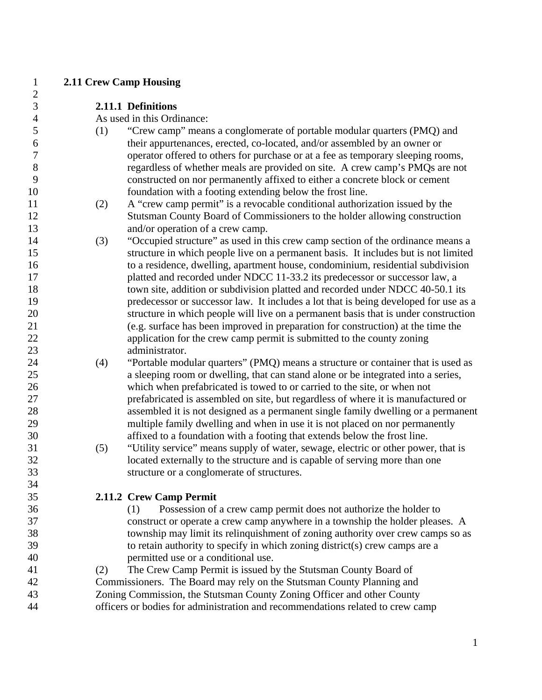| $\mathbf{1}$   | <b>2.11 Crew Camp Housing</b> |                                                                                                                                                           |
|----------------|-------------------------------|-----------------------------------------------------------------------------------------------------------------------------------------------------------|
| $\overline{c}$ |                               |                                                                                                                                                           |
| 3              |                               | 2.11.1 Definitions                                                                                                                                        |
| 4              |                               | As used in this Ordinance:                                                                                                                                |
| 5              | (1)                           | "Crew camp" means a conglomerate of portable modular quarters (PMQ) and                                                                                   |
| 6              |                               | their appurtenances, erected, co-located, and/or assembled by an owner or                                                                                 |
| 7              |                               | operator offered to others for purchase or at a fee as temporary sleeping rooms,                                                                          |
| $8\,$          |                               | regardless of whether meals are provided on site. A crew camp's PMQs are not                                                                              |
| 9              |                               | constructed on nor permanently affixed to either a concrete block or cement                                                                               |
| 10             |                               | foundation with a footing extending below the frost line.                                                                                                 |
| 11             | (2)                           | A "crew camp permit" is a revocable conditional authorization issued by the                                                                               |
| 12             |                               | Stutsman County Board of Commissioners to the holder allowing construction                                                                                |
| 13             |                               | and/or operation of a crew camp.                                                                                                                          |
| 14             | (3)                           | "Occupied structure" as used in this crew camp section of the ordinance means a                                                                           |
| 15             |                               | structure in which people live on a permanent basis. It includes but is not limited                                                                       |
| 16             |                               | to a residence, dwelling, apartment house, condominium, residential subdivision                                                                           |
| 17             |                               | platted and recorded under NDCC 11-33.2 its predecessor or successor law, a                                                                               |
| 18             |                               | town site, addition or subdivision platted and recorded under NDCC 40-50.1 its                                                                            |
| 19             |                               | predecessor or successor law. It includes a lot that is being developed for use as a                                                                      |
| 20             |                               | structure in which people will live on a permanent basis that is under construction                                                                       |
| 21             |                               | (e.g. surface has been improved in preparation for construction) at the time the                                                                          |
| 22             |                               | application for the crew camp permit is submitted to the county zoning                                                                                    |
| 23             |                               | administrator.                                                                                                                                            |
| 24             | (4)                           | "Portable modular quarters" (PMQ) means a structure or container that is used as                                                                          |
| 25             |                               | a sleeping room or dwelling, that can stand alone or be integrated into a series,                                                                         |
| 26             |                               | which when prefabricated is towed to or carried to the site, or when not                                                                                  |
| 27             |                               | prefabricated is assembled on site, but regardless of where it is manufactured or                                                                         |
| 28<br>29       |                               | assembled it is not designed as a permanent single family dwelling or a permanent                                                                         |
| 30             |                               | multiple family dwelling and when in use it is not placed on nor permanently<br>affixed to a foundation with a footing that extends below the frost line. |
| 31             | (5)                           | "Utility service" means supply of water, sewage, electric or other power, that is                                                                         |
| 32             |                               | located externally to the structure and is capable of serving more than one                                                                               |
| 33             |                               | structure or a conglomerate of structures                                                                                                                 |
| 34             |                               |                                                                                                                                                           |
| 35             |                               | 2.11.2 Crew Camp Permit                                                                                                                                   |
| 36             |                               | Possession of a crew camp permit does not authorize the holder to<br>(1)                                                                                  |
| 37             |                               | construct or operate a crew camp anywhere in a township the holder pleases. A                                                                             |
| 38             |                               | township may limit its relinquishment of zoning authority over crew camps so as                                                                           |
| 39             |                               | to retain authority to specify in which zoning district(s) crew camps are a                                                                               |
| 40             |                               | permitted use or a conditional use.                                                                                                                       |
| 41             | (2)                           | The Crew Camp Permit is issued by the Stutsman County Board of                                                                                            |
| 42             |                               | Commissioners. The Board may rely on the Stutsman County Planning and                                                                                     |
| 43             |                               | Zoning Commission, the Stutsman County Zoning Officer and other County                                                                                    |
| 44             |                               | officers or bodies for administration and recommendations related to crew camp                                                                            |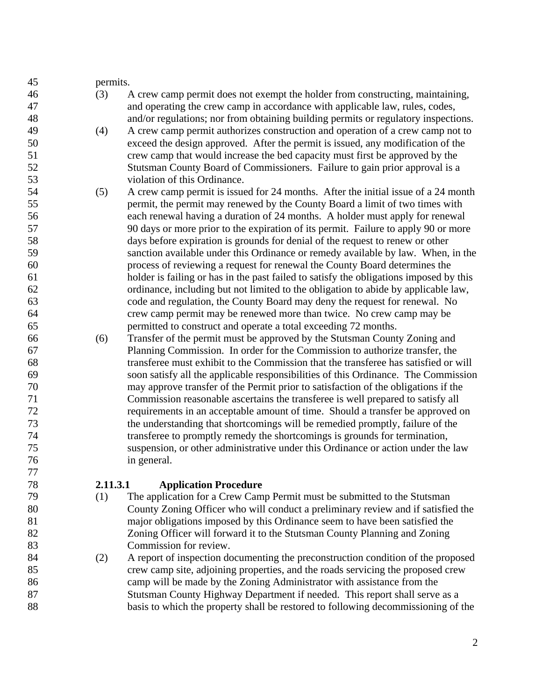| 45 | permits. |                                                                                        |
|----|----------|----------------------------------------------------------------------------------------|
| 46 | (3)      | A crew camp permit does not exempt the holder from constructing, maintaining,          |
| 47 |          | and operating the crew camp in accordance with applicable law, rules, codes,           |
| 48 |          | and/or regulations; nor from obtaining building permits or regulatory inspections.     |
| 49 | (4)      | A crew camp permit authorizes construction and operation of a crew camp not to         |
| 50 |          | exceed the design approved. After the permit is issued, any modification of the        |
| 51 |          | crew camp that would increase the bed capacity must first be approved by the           |
| 52 |          | Stutsman County Board of Commissioners. Failure to gain prior approval is a            |
| 53 |          | violation of this Ordinance.                                                           |
| 54 | (5)      | A crew camp permit is issued for 24 months. After the initial issue of a 24 month      |
| 55 |          | permit, the permit may renewed by the County Board a limit of two times with           |
| 56 |          | each renewal having a duration of 24 months. A holder must apply for renewal           |
| 57 |          | 90 days or more prior to the expiration of its permit. Failure to apply 90 or more     |
| 58 |          | days before expiration is grounds for denial of the request to renew or other          |
| 59 |          | sanction available under this Ordinance or remedy available by law. When, in the       |
| 60 |          | process of reviewing a request for renewal the County Board determines the             |
| 61 |          | holder is failing or has in the past failed to satisfy the obligations imposed by this |
| 62 |          | ordinance, including but not limited to the obligation to abide by applicable law,     |
| 63 |          | code and regulation, the County Board may deny the request for renewal. No             |
| 64 |          | crew camp permit may be renewed more than twice. No crew camp may be                   |
| 65 |          | permitted to construct and operate a total exceeding 72 months.                        |
| 66 | (6)      | Transfer of the permit must be approved by the Stutsman County Zoning and              |
| 67 |          | Planning Commission. In order for the Commission to authorize transfer, the            |
| 68 |          | transferee must exhibit to the Commission that the transferee has satisfied or will    |
| 69 |          | soon satisfy all the applicable responsibilities of this Ordinance. The Commission     |
| 70 |          | may approve transfer of the Permit prior to satisfaction of the obligations if the     |
| 71 |          | Commission reasonable ascertains the transferee is well prepared to satisfy all        |
| 72 |          | requirements in an acceptable amount of time. Should a transfer be approved on         |
| 73 |          | the understanding that shortcomings will be remedied promptly, failure of the          |
| 74 |          | transferee to promptly remedy the shortcomings is grounds for termination,             |
| 75 |          | suspension, or other administrative under this Ordinance or action under the law       |
| 76 |          | in general.                                                                            |
| 77 |          |                                                                                        |

### 78 **2.11.3.1 Application Procedure**

- 79 (1) The application for a Crew Camp Permit must be submitted to the Stutsman 80 County Zoning Officer who will conduct a preliminary review and if satisfied the 81 major obligations imposed by this Ordinance seem to have been satisfied the 82 Zoning Officer will forward it to the Stutsman County Planning and Zoning 83 Commission for review.
- 84 (2) A report of inspection documenting the preconstruction condition of the proposed 85 crew camp site, adjoining properties, and the roads servicing the proposed crew 86 camp will be made by the Zoning Administrator with assistance from the 87 Stutsman County Highway Department if needed. This report shall serve as a 88 basis to which the property shall be restored to following decommissioning of the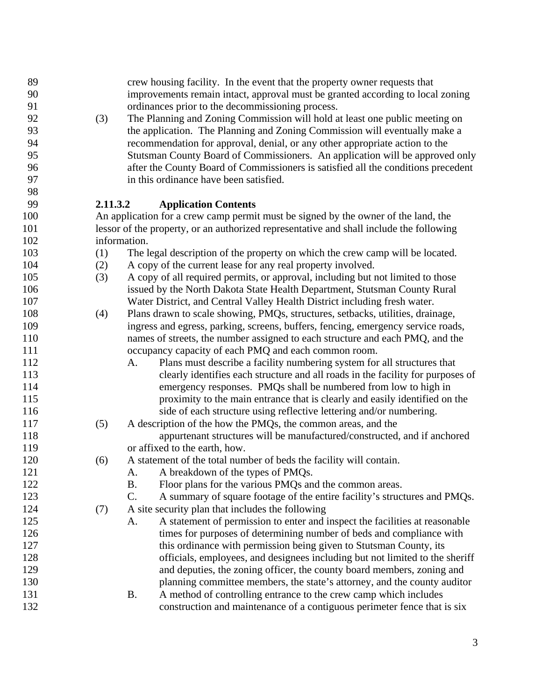| 89  |          | crew housing facility. In the event that the property owner requests that               |
|-----|----------|-----------------------------------------------------------------------------------------|
| 90  |          | improvements remain intact, approval must be granted according to local zoning          |
| 91  |          | ordinances prior to the decommissioning process.                                        |
| 92  | (3)      | The Planning and Zoning Commission will hold at least one public meeting on             |
| 93  |          | the application. The Planning and Zoning Commission will eventually make a              |
| 94  |          | recommendation for approval, denial, or any other appropriate action to the             |
| 95  |          | Stutsman County Board of Commissioners. An application will be approved only            |
| 96  |          | after the County Board of Commissioners is satisfied all the conditions precedent       |
| 97  |          | in this ordinance have been satisfied.                                                  |
| 98  |          |                                                                                         |
| 99  | 2.11.3.2 | <b>Application Contents</b>                                                             |
| 100 |          | An application for a crew camp permit must be signed by the owner of the land, the      |
| 101 |          | lessor of the property, or an authorized representative and shall include the following |
| 102 |          | information.                                                                            |
| 103 | (1)      | The legal description of the property on which the crew camp will be located.           |
| 104 | (2)      | A copy of the current lease for any real property involved.                             |
| 105 | (3)      | A copy of all required permits, or approval, including but not limited to those         |
| 106 |          | issued by the North Dakota State Health Department, Stutsman County Rural               |
| 107 |          | Water District, and Central Valley Health District including fresh water.               |
| 108 | (4)      | Plans drawn to scale showing, PMQs, structures, setbacks, utilities, drainage,          |
| 109 |          | ingress and egress, parking, screens, buffers, fencing, emergency service roads,        |
| 110 |          | names of streets, the number assigned to each structure and each PMQ, and the           |
| 111 |          | occupancy capacity of each PMQ and each common room.                                    |
| 112 |          | Plans must describe a facility numbering system for all structures that<br>A.           |
| 113 |          | clearly identifies each structure and all roads in the facility for purposes of         |
| 114 |          | emergency responses. PMQs shall be numbered from low to high in                         |
| 115 |          | proximity to the main entrance that is clearly and easily identified on the             |
| 116 |          | side of each structure using reflective lettering and/or numbering.                     |
| 117 | (5)      | A description of the how the PMQs, the common areas, and the                            |
| 118 |          | appurtenant structures will be manufactured/constructed, and if anchored                |
| 119 |          | or affixed to the earth, how.                                                           |
| 120 | (6)      | A statement of the total number of beds the facility will contain.                      |
| 121 |          | A breakdown of the types of PMQs.<br>A.                                                 |
| 122 |          | <b>B.</b><br>Floor plans for the various PMQs and the common areas.                     |
| 123 |          | C.<br>A summary of square footage of the entire facility's structures and PMQs.         |
| 124 | (7)      | A site security plan that includes the following                                        |
| 125 |          | A statement of permission to enter and inspect the facilities at reasonable<br>A.       |
| 126 |          | times for purposes of determining number of beds and compliance with                    |
| 127 |          | this ordinance with permission being given to Stutsman County, its                      |
| 128 |          | officials, employees, and designees including but not limited to the sheriff            |
| 129 |          | and deputies, the zoning officer, the county board members, zoning and                  |
| 130 |          | planning committee members, the state's attorney, and the county auditor                |
| 131 |          | A method of controlling entrance to the crew camp which includes<br><b>B.</b>           |
| 132 |          | construction and maintenance of a contiguous perimeter fence that is six                |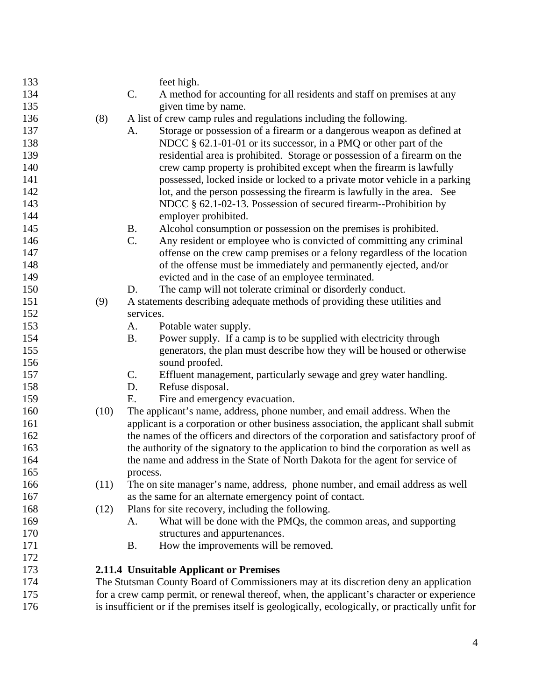| 133 |      |               | feet high.                                                                                        |
|-----|------|---------------|---------------------------------------------------------------------------------------------------|
| 134 |      | C.            | A method for accounting for all residents and staff on premises at any                            |
| 135 |      |               | given time by name.                                                                               |
| 136 | (8)  |               | A list of crew camp rules and regulations including the following.                                |
| 137 |      | А.            | Storage or possession of a firearm or a dangerous weapon as defined at                            |
| 138 |      |               | NDCC § 62.1-01-01 or its successor, in a PMQ or other part of the                                 |
| 139 |      |               | residential area is prohibited. Storage or possession of a firearm on the                         |
| 140 |      |               | crew camp property is prohibited except when the firearm is lawfully                              |
| 141 |      |               | possessed, locked inside or locked to a private motor vehicle in a parking                        |
| 142 |      |               | lot, and the person possessing the firearm is lawfully in the area. See                           |
| 143 |      |               | NDCC § 62.1-02-13. Possession of secured firearm--Prohibition by                                  |
| 144 |      |               | employer prohibited.                                                                              |
| 145 |      | <b>B.</b>     | Alcohol consumption or possession on the premises is prohibited.                                  |
| 146 |      | C.            | Any resident or employee who is convicted of committing any criminal                              |
| 147 |      |               | offense on the crew camp premises or a felony regardless of the location                          |
| 148 |      |               | of the offense must be immediately and permanently ejected, and/or                                |
| 149 |      |               | evicted and in the case of an employee terminated.                                                |
| 150 |      | D.            | The camp will not tolerate criminal or disorderly conduct.                                        |
| 151 | (9)  |               | A statements describing adequate methods of providing these utilities and                         |
| 152 |      | services.     |                                                                                                   |
| 153 |      | A.            | Potable water supply.                                                                             |
| 154 |      | <b>B.</b>     | Power supply. If a camp is to be supplied with electricity through                                |
| 155 |      |               | generators, the plan must describe how they will be housed or otherwise                           |
| 156 |      |               | sound proofed.                                                                                    |
| 157 |      | $\mathsf{C}.$ | Effluent management, particularly sewage and grey water handling.                                 |
| 158 |      | D.            | Refuse disposal.                                                                                  |
| 159 |      | E.            | Fire and emergency evacuation.                                                                    |
| 160 | (10) |               | The applicant's name, address, phone number, and email address. When the                          |
| 161 |      |               | applicant is a corporation or other business association, the applicant shall submit              |
| 162 |      |               | the names of the officers and directors of the corporation and satisfactory proof of              |
| 163 |      |               | the authority of the signatory to the application to bind the corporation as well as              |
| 164 |      |               | the name and address in the State of North Dakota for the agent for service of                    |
| 165 |      | process.      |                                                                                                   |
| 166 | (11) |               | The on site manager's name, address, phone number, and email address as well                      |
| 167 |      |               | as the same for an alternate emergency point of contact.                                          |
| 168 | (12) |               | Plans for site recovery, including the following.                                                 |
| 169 |      | А.            | What will be done with the PMQs, the common areas, and supporting                                 |
| 170 |      |               | structures and appurtenances.                                                                     |
| 171 |      | <b>B.</b>     | How the improvements will be removed.                                                             |
| 172 |      |               |                                                                                                   |
| 173 |      |               | 2.11.4 Unsuitable Applicant or Premises                                                           |
| 174 |      |               | The Stutsman County Board of Commissioners may at its discretion deny an application              |
| 175 |      |               | for a crew camp permit, or renewal thereof, when, the applicant's character or experience         |
| 176 |      |               | is insufficient or if the premises itself is geologically, ecologically, or practically unfit for |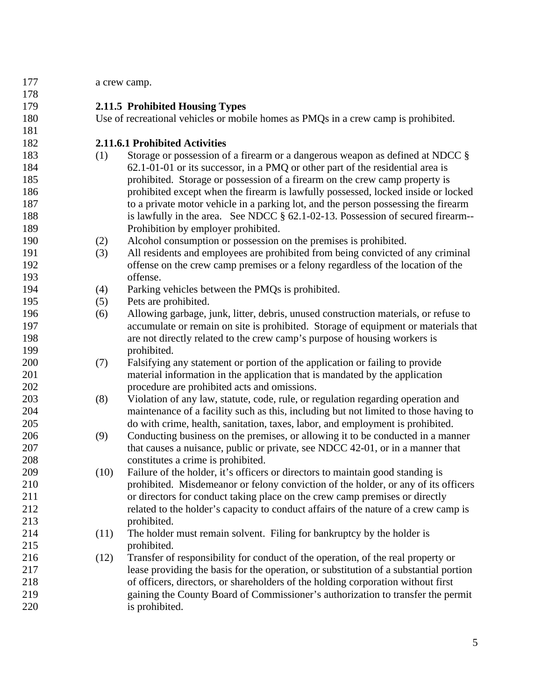| 177 |      | a crew camp.                                                                          |
|-----|------|---------------------------------------------------------------------------------------|
| 178 |      |                                                                                       |
| 179 |      | 2.11.5 Prohibited Housing Types                                                       |
| 180 |      | Use of recreational vehicles or mobile homes as PMQs in a crew camp is prohibited.    |
| 181 |      |                                                                                       |
| 182 |      | 2.11.6.1 Prohibited Activities                                                        |
| 183 | (1)  | Storage or possession of a firearm or a dangerous weapon as defined at NDCC §         |
| 184 |      | 62.1-01-01 or its successor, in a PMQ or other part of the residential area is        |
| 185 |      | prohibited. Storage or possession of a firearm on the crew camp property is           |
| 186 |      | prohibited except when the firearm is lawfully possessed, locked inside or locked     |
| 187 |      | to a private motor vehicle in a parking lot, and the person possessing the firearm    |
| 188 |      | is lawfully in the area. See NDCC § 62.1-02-13. Possession of secured firearm--       |
| 189 |      | Prohibition by employer prohibited.                                                   |
| 190 | (2)  | Alcohol consumption or possession on the premises is prohibited.                      |
| 191 | (3)  | All residents and employees are prohibited from being convicted of any criminal       |
| 192 |      | offense on the crew camp premises or a felony regardless of the location of the       |
| 193 |      | offense.                                                                              |
| 194 | (4)  | Parking vehicles between the PMQs is prohibited.                                      |
| 195 | (5)  | Pets are prohibited.                                                                  |
| 196 | (6)  | Allowing garbage, junk, litter, debris, unused construction materials, or refuse to   |
| 197 |      | accumulate or remain on site is prohibited. Storage of equipment or materials that    |
| 198 |      | are not directly related to the crew camp's purpose of housing workers is             |
| 199 |      | prohibited.                                                                           |
| 200 | (7)  | Falsifying any statement or portion of the application or failing to provide          |
| 201 |      | material information in the application that is mandated by the application           |
| 202 |      | procedure are prohibited acts and omissions.                                          |
| 203 | (8)  | Violation of any law, statute, code, rule, or regulation regarding operation and      |
| 204 |      | maintenance of a facility such as this, including but not limited to those having to  |
| 205 |      | do with crime, health, sanitation, taxes, labor, and employment is prohibited.        |
| 206 | (9)  | Conducting business on the premises, or allowing it to be conducted in a manner       |
| 207 |      | that causes a nuisance, public or private, see NDCC 42-01, or in a manner that        |
| 208 |      | constitutes a crime is prohibited.                                                    |
| 209 | (10) | Failure of the holder, it's officers or directors to maintain good standing is        |
| 210 |      | prohibited. Misdemeanor or felony conviction of the holder, or any of its officers    |
| 211 |      | or directors for conduct taking place on the crew camp premises or directly           |
| 212 |      | related to the holder's capacity to conduct affairs of the nature of a crew camp is   |
| 213 |      | prohibited.                                                                           |
| 214 | (11) | The holder must remain solvent. Filing for bankruptcy by the holder is                |
| 215 |      | prohibited.                                                                           |
| 216 | (12) | Transfer of responsibility for conduct of the operation, of the real property or      |
| 217 |      | lease providing the basis for the operation, or substitution of a substantial portion |
| 218 |      | of officers, directors, or shareholders of the holding corporation without first      |
| 219 |      | gaining the County Board of Commissioner's authorization to transfer the permit       |
| 220 |      | is prohibited.                                                                        |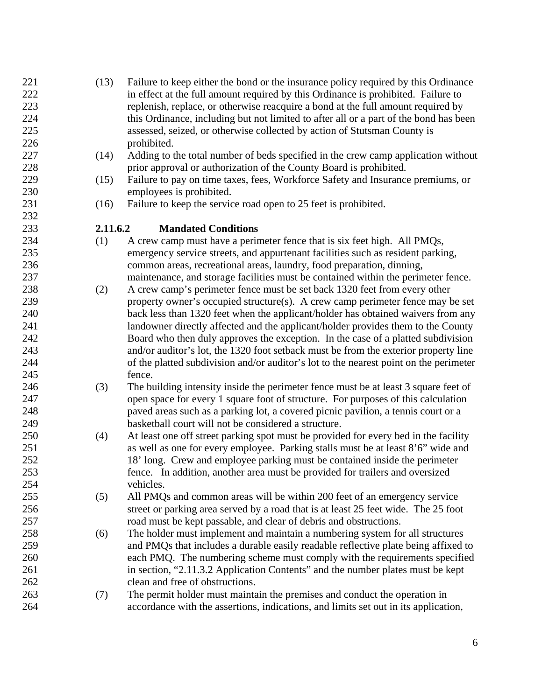- 221 (13) Failure to keep either the bond or the insurance policy required by this Ordinance 222 in effect at the full amount required by this Ordinance is prohibited. Failure to 223 replenish, replace, or otherwise reacquire a bond at the full amount required by 224 this Ordinance, including but not limited to after all or a part of the bond has been 225 assessed, seized, or otherwise collected by action of Stutsman County is 226 prohibited.
- 227 (14) Adding to the total number of beds specified in the crew camp application without 228 prior approval or authorization of the County Board is prohibited.
- 229 (15) Failure to pay on time taxes, fees, Workforce Safety and Insurance premiums, or 230 employees is prohibited.
- 231 (16) Failure to keep the service road open to 25 feet is prohibited.

#### 233 **2.11.6.2 Mandated Conditions**

- 234 (1) A crew camp must have a perimeter fence that is six feet high. All PMQs, 235 emergency service streets, and appurtenant facilities such as resident parking, 236 common areas, recreational areas, laundry, food preparation, dinning, 237 maintenance, and storage facilities must be contained within the perimeter fence.
- 238 (2) A crew camp's perimeter fence must be set back 1320 feet from every other 239 property owner's occupied structure(s). A crew camp perimeter fence may be set 240 back less than 1320 feet when the applicant/holder has obtained waivers from any 241 landowner directly affected and the applicant/holder provides them to the County 242 Board who then duly approves the exception. In the case of a platted subdivision 243 and/or auditor's lot, the 1320 foot setback must be from the exterior property line 244 of the platted subdivision and/or auditor's lot to the nearest point on the perimeter 245 fence.
- 246 (3) The building intensity inside the perimeter fence must be at least 3 square feet of 247 open space for every 1 square foot of structure. For purposes of this calculation 248 paved areas such as a parking lot, a covered picnic pavilion, a tennis court or a 249 basketball court will not be considered a structure.
- 250 (4) At least one off street parking spot must be provided for every bed in the facility 251 as well as one for every employee. Parking stalls must be at least 8'6" wide and 252 18' long. Crew and employee parking must be contained inside the perimeter 253 fence. In addition, another area must be provided for trailers and oversized 254 vehicles.
- 255 (5) All PMQs and common areas will be within 200 feet of an emergency service 256 street or parking area served by a road that is at least 25 feet wide. The 25 foot 257 road must be kept passable, and clear of debris and obstructions.
- 258 (6) The holder must implement and maintain a numbering system for all structures 259 and PMQs that includes a durable easily readable reflective plate being affixed to 260 each PMQ. The numbering scheme must comply with the requirements specified 261 in section, "2.11.3.2 Application Contents" and the number plates must be kept 262 clean and free of obstructions.
- 263 (7) The permit holder must maintain the premises and conduct the operation in 264 accordance with the assertions, indications, and limits set out in its application,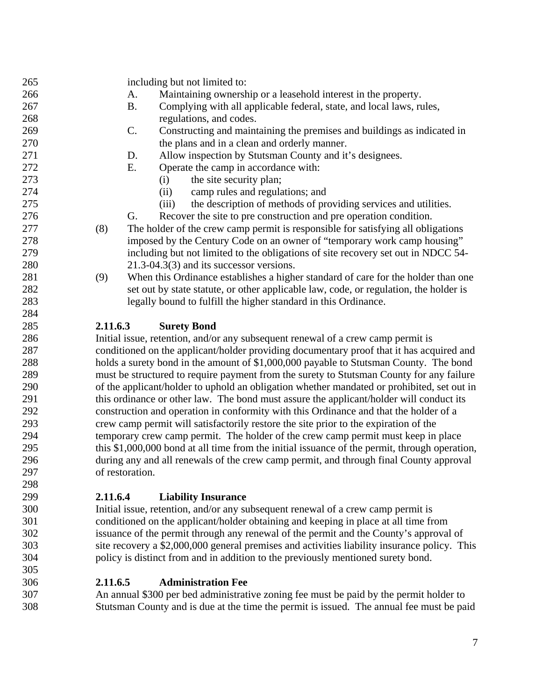265 including but not limited to: 266 A. Maintaining ownership or a leasehold interest in the property. 267 B. Complying with all applicable federal, state, and local laws, rules, 268 regulations, and codes. 269 C. Constructing and maintaining the premises and buildings as indicated in 270 the plans and in a clean and orderly manner. 271 D. Allow inspection by Stutsman County and it's designees. 272 E. Operate the camp in accordance with: 273 (i) the site security plan; 274 (ii) camp rules and regulations; and 275 (iii) the description of methods of providing services and utilities. 276 G. Recover the site to pre construction and pre operation condition. 277 (8) The holder of the crew camp permit is responsible for satisfying all obligations 278 imposed by the Century Code on an owner of "temporary work camp housing" 279 including but not limited to the obligations of site recovery set out in NDCC 54- 280 21.3-04.3(3) and its successor versions. 281 (9) When this Ordinance establishes a higher standard of care for the holder than one 282 set out by state statute, or other applicable law, code, or regulation, the holder is 283 legally bound to fulfill the higher standard in this Ordinance. 284 285 **2.11.6.3 Surety Bond** 286 Initial issue, retention, and/or any subsequent renewal of a crew camp permit is 287 conditioned on the applicant/holder providing documentary proof that it has acquired and 288 holds a surety bond in the amount of \$1,000,000 payable to Stutsman County. The bond 289 must be structured to require payment from the surety to Stutsman County for any failure 290 of the applicant/holder to uphold an obligation whether mandated or prohibited, set out in 291 this ordinance or other law. The bond must assure the applicant/holder will conduct its 292 construction and operation in conformity with this Ordinance and that the holder of a 293 crew camp permit will satisfactorily restore the site prior to the expiration of the 294 temporary crew camp permit. The holder of the crew camp permit must keep in place 295 this \$1,000,000 bond at all time from the initial issuance of the permit, through operation, 296 during any and all renewals of the crew camp permit, and through final County approval 297 of restoration. 298

# 299 **2.11.6.4 Liability Insurance**

300 Initial issue, retention, and/or any subsequent renewal of a crew camp permit is 301 conditioned on the applicant/holder obtaining and keeping in place at all time from 302 issuance of the permit through any renewal of the permit and the County's approval of 303 site recovery a \$2,000,000 general premises and activities liability insurance policy. This 304 policy is distinct from and in addition to the previously mentioned surety bond.

# 306 **2.11.6.5 Administration Fee**

305

307 An annual \$300 per bed administrative zoning fee must be paid by the permit holder to 308 Stutsman County and is due at the time the permit is issued. The annual fee must be paid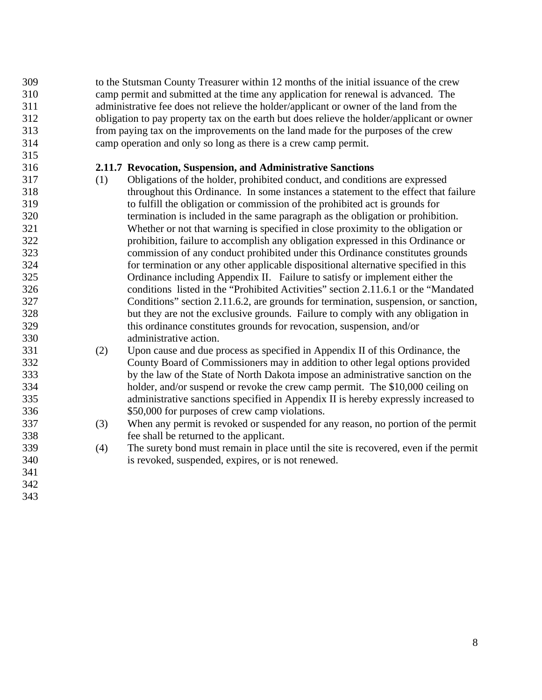309 to the Stutsman County Treasurer within 12 months of the initial issuance of the crew 310 camp permit and submitted at the time any application for renewal is advanced. The 311 administrative fee does not relieve the holder/applicant or owner of the land from the 312 obligation to pay property tax on the earth but does relieve the holder/applicant or owner 313 from paying tax on the improvements on the land made for the purposes of the crew 314 camp operation and only so long as there is a crew camp permit.

## 316 **2.11.7 Revocation, Suspension, and Administrative Sanctions**

- 317 (1) Obligations of the holder, prohibited conduct, and conditions are expressed 318 throughout this Ordinance. In some instances a statement to the effect that failure 319 to fulfill the obligation or commission of the prohibited act is grounds for 320 termination is included in the same paragraph as the obligation or prohibition. 321 Whether or not that warning is specified in close proximity to the obligation or 322 prohibition, failure to accomplish any obligation expressed in this Ordinance or 323 commission of any conduct prohibited under this Ordinance constitutes grounds 324 for termination or any other applicable dispositional alternative specified in this 325 Ordinance including Appendix II. Failure to satisfy or implement either the 326 conditions listed in the "Prohibited Activities" section 2.11.6.1 or the "Mandated 327 Conditions" section 2.11.6.2, are grounds for termination, suspension, or sanction, 328 but they are not the exclusive grounds. Failure to comply with any obligation in 329 this ordinance constitutes grounds for revocation, suspension, and/or 330 administrative action.
- 331 (2) Upon cause and due process as specified in Appendix II of this Ordinance, the 332 County Board of Commissioners may in addition to other legal options provided 333 by the law of the State of North Dakota impose an administrative sanction on the 334 holder, and/or suspend or revoke the crew camp permit. The \$10,000 ceiling on 335 administrative sanctions specified in Appendix II is hereby expressly increased to 336 \$50,000 for purposes of crew camp violations.
- 337 (3) When any permit is revoked or suspended for any reason, no portion of the permit 338 fee shall be returned to the applicant.
- 339 (4) The surety bond must remain in place until the site is recovered, even if the permit 340 is revoked, suspended, expires, or is not renewed.
- 341 342

- 
- 343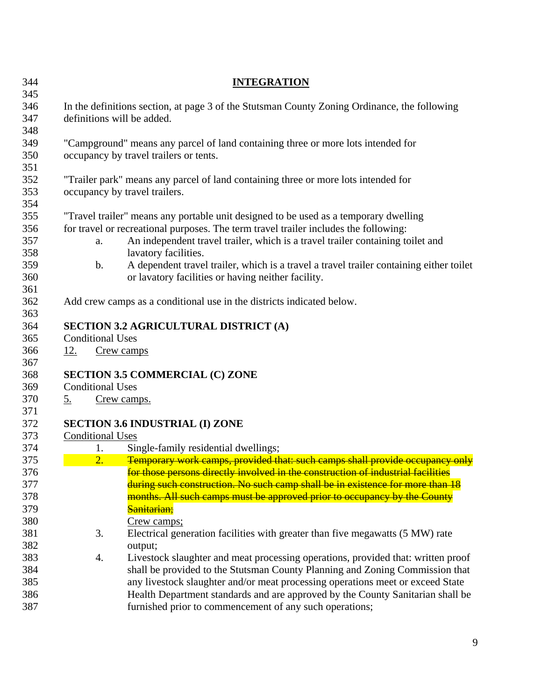| 344        |            |                                                                                    | <b>INTEGRATION</b>                                                                                     |  |  |  |
|------------|------------|------------------------------------------------------------------------------------|--------------------------------------------------------------------------------------------------------|--|--|--|
| 345<br>346 |            |                                                                                    | In the definitions section, at page 3 of the Stutsman County Zoning Ordinance, the following           |  |  |  |
| 347<br>348 |            |                                                                                    | definitions will be added.                                                                             |  |  |  |
| 349        |            |                                                                                    | "Campground" means any parcel of land containing three or more lots intended for                       |  |  |  |
| 350<br>351 |            |                                                                                    | occupancy by travel trailers or tents.                                                                 |  |  |  |
| 352        |            | "Trailer park" means any parcel of land containing three or more lots intended for |                                                                                                        |  |  |  |
| 353<br>354 |            |                                                                                    | occupancy by travel trailers.                                                                          |  |  |  |
| 355        |            |                                                                                    | "Travel trailer" means any portable unit designed to be used as a temporary dwelling                   |  |  |  |
| 356        |            |                                                                                    | for travel or recreational purposes. The term travel trailer includes the following:                   |  |  |  |
| 357<br>358 |            | a.                                                                                 | An independent travel trailer, which is a travel trailer containing toilet and<br>lavatory facilities. |  |  |  |
| 359        |            | $\mathbf b$ .                                                                      | A dependent travel trailer, which is a travel a travel trailer containing either toilet                |  |  |  |
| 360<br>361 |            |                                                                                    | or lavatory facilities or having neither facility.                                                     |  |  |  |
| 362        |            |                                                                                    | Add crew camps as a conditional use in the districts indicated below.                                  |  |  |  |
| 363        |            |                                                                                    |                                                                                                        |  |  |  |
| 364        |            |                                                                                    | <b>SECTION 3.2 AGRICULTURAL DISTRICT (A)</b>                                                           |  |  |  |
| 365        |            | <b>Conditional Uses</b>                                                            |                                                                                                        |  |  |  |
| 366<br>367 | <u>12.</u> | Crew camps                                                                         |                                                                                                        |  |  |  |
| 368        |            |                                                                                    | <b>SECTION 3.5 COMMERCIAL (C) ZONE</b>                                                                 |  |  |  |
| 369        |            | <b>Conditional Uses</b>                                                            |                                                                                                        |  |  |  |
| 370        | <u>5.</u>  |                                                                                    | Crew camps.                                                                                            |  |  |  |
| 371<br>372 |            |                                                                                    | <b>SECTION 3.6 INDUSTRIAL (I) ZONE</b>                                                                 |  |  |  |
| 373        |            | <b>Conditional Uses</b>                                                            |                                                                                                        |  |  |  |
| 374        |            | 1.                                                                                 | Single-family residential dwellings;                                                                   |  |  |  |
| 375        |            | 2.                                                                                 | Temporary work camps, provided that: such camps shall provide occupancy only                           |  |  |  |
| 376        |            |                                                                                    | for those persons directly involved in the construction of industrial facilities                       |  |  |  |
| 377        |            |                                                                                    | during such construction. No such camp shall be in existence for more than 18                          |  |  |  |
| 378        |            |                                                                                    | months. All such camps must be approved prior to occupancy by the County                               |  |  |  |
| 379        |            |                                                                                    | Sanitarian;                                                                                            |  |  |  |
| 380        |            |                                                                                    | Crew camps;                                                                                            |  |  |  |
| 381<br>382 |            | 3.                                                                                 | Electrical generation facilities with greater than five megawatts (5 MW) rate<br>output;               |  |  |  |
| 383        |            | 4.                                                                                 | Livestock slaughter and meat processing operations, provided that: written proof                       |  |  |  |
| 384        |            |                                                                                    | shall be provided to the Stutsman County Planning and Zoning Commission that                           |  |  |  |
| 385        |            |                                                                                    | any livestock slaughter and/or meat processing operations meet or exceed State                         |  |  |  |
| 386        |            |                                                                                    | Health Department standards and are approved by the County Sanitarian shall be                         |  |  |  |
| 387        |            |                                                                                    | furnished prior to commencement of any such operations;                                                |  |  |  |